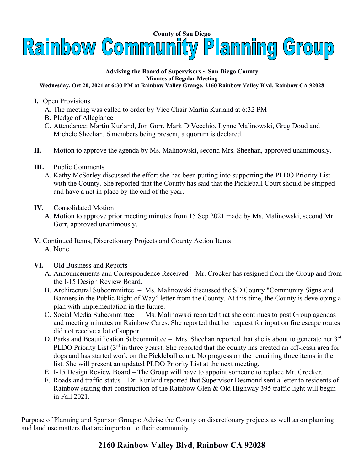

## **Advising the Board of Supervisors ~ San Diego County Minutes of Regular Meeting**

## **Wednesday, Oct 20, 2021 at 6:30 PM at Rainbow Valley Grange, 2160 Rainbow Valley Blvd, Rainbow CA 92028**

- **I.** Open Provisions
	- A. The meeting was called to order by Vice Chair Martin Kurland at 6:32 PM
	- B. Pledge of Allegiance
	- C. Attendance: Martin Kurland, Jon Gorr, Mark DiVecchio, Lynne Malinowski, Greg Doud and Michele Sheehan. 6 members being present, a quorum is declared.
- **II.** Motion to approve the agenda by Ms. Malinowski, second Mrs. Sheehan, approved unanimously.
- **III.** Public Comments
	- A. Kathy McSorley discussed the effort she has been putting into supporting the PLDO Priority List with the County. She reported that the County has said that the Pickleball Court should be stripped and have a net in place by the end of the year.
- **IV.** Consolidated Motion
	- A. Motion to approve prior meeting minutes from 15 Sep 2021 made by Ms. Malinowski, second Mr. Gorr, approved unanimously.
- **V.** Continued Items, Discretionary Projects and County Action Items A. None
- **VI.** Old Business and Reports
	- A. Announcements and Correspondence Received Mr. Crocker has resigned from the Group and from the I-15 Design Review Board.
	- B. Architectural Subcommittee Ms. Malinowski discussed the SD County "Community Signs and Banners in the Public Right of Way" letter from the County. At this time, the County is developing a plan with implementation in the future.
	- C. Social Media Subcommittee Ms. Malinowski reported that she continues to post Group agendas and meeting minutes on Rainbow Cares. She reported that her request for input on fire escape routes did not receive a lot of support.
	- D. Parks and Beautification Subcommittee Mrs. Sheehan reported that she is about to generate her  $3<sup>rd</sup>$ PLDO Priority List  $(3<sup>rd</sup>$  in three years). She reported that the county has created an off-leash area for dogs and has started work on the Pickleball court. No progress on the remaining three items in the list. She will present an updated PLDO Priority List at the next meeting.
	- E. I-15 Design Review Board The Group will have to appoint someone to replace Mr. Crocker.
	- F. Roads and traffic status Dr. Kurland reported that Supervisor Desmond sent a letter to residents of Rainbow stating that construction of the Rainbow Glen & Old Highway 395 traffic light will begin in Fall 2021.

Purpose of Planning and Sponsor Groups: Advise the County on discretionary projects as well as on planning and land use matters that are important to their community.

## **2160 Rainbow Valley Blvd, Rainbow CA 92028**